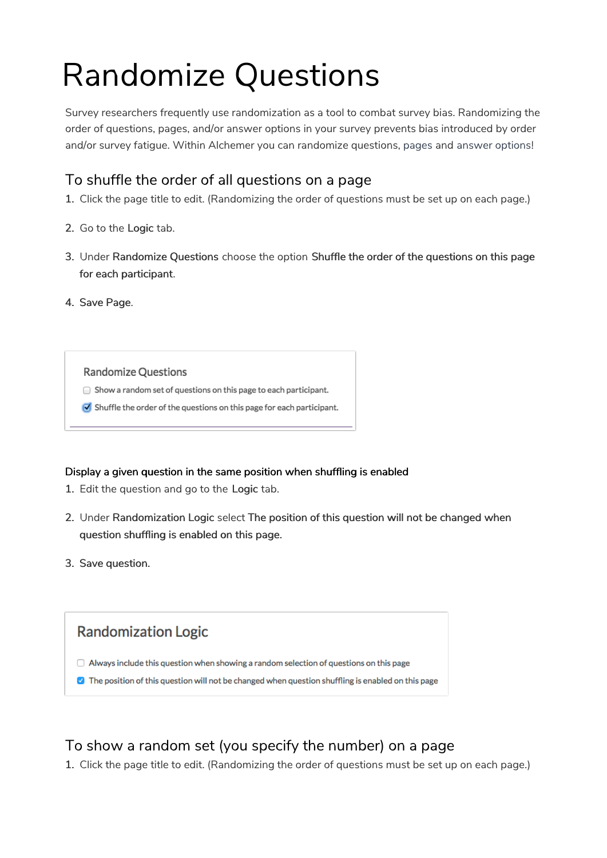# Randomize Questions

Survey researchers frequently use randomization as a tool to combat survey bias. Randomizing the order of questions, pages, and/or answer options in your survey prevents bias introduced by order and/or survey fatigue. Within Alchemer you can randomize questions, pages and answer options!

# To shuffle the order of all questions on a page

- 1. Click the page title to edit. (Randomizing the order of questions must be set up on each page.)
- 2. Go to the Logic tab.
- 3. Under Randomize Questions choose the option Shuffle the order of the questions on this page for each participant.
- 4. Save Page.

#### **Randomize Questions**

- $\Box$  Show a random set of questions on this page to each participant.
- $\bullet$  Shuffle the order of the questions on this page for each participant.

## Display a given question in the same position when shuffling is enabled

- 1. Edit the question and go to the Logic tab.
- 2. Under Randomization Logic select The position of this question will not be changed when question shuffling is enabled on this page.
- 3. Save question.

## **Randomization Logic**

- $\Box$  Always include this question when showing a random selection of questions on this page
- **M** The position of this question will not be changed when question shuffling is enabled on this page

# To show a random set (you specify the number) on a page

1. Click the page title to edit. (Randomizing the order of questions must be set up on each page.)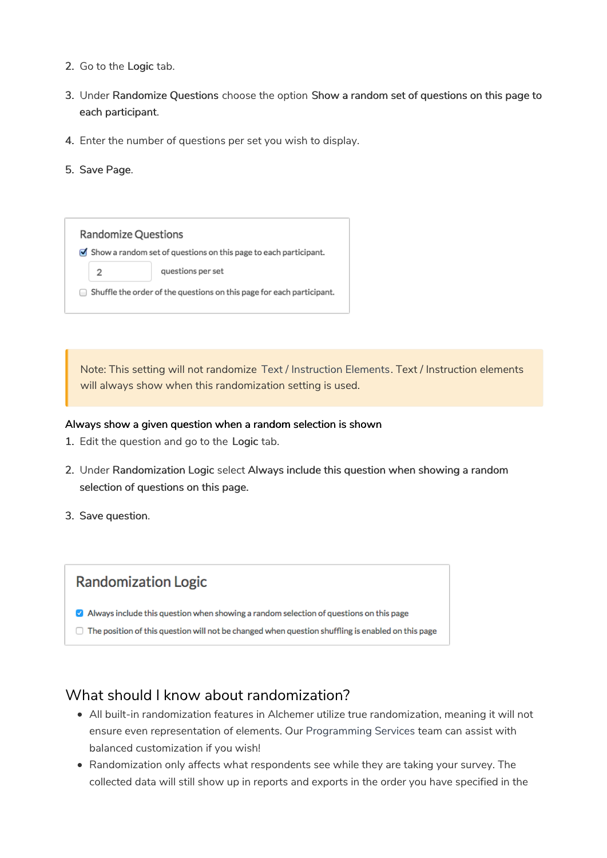- 2. Go to the Logic tab.
- 3. Under Randomize Questions choose the option Show a random set of questions on this page to each participant.
- 4. Enter the number of questions per set you wish to display.
- 5. Save Page.

**Randomize Questions** Show a random set of questions on this page to each participant.  $\overline{2}$ questions per set  $\Box$  Shuffle the order of the questions on this page for each participant.

Note: This setting will not randomize Text / Instruction Elements. Text / Instruction elements will always show when this randomization setting is used.

#### Always show a given question when a random selection is shown

- 1. Edit the question and go to the Logic tab.
- 2. Under Randomization Logic select Always include this question when showing a random selection of questions on this page.
- 3. Save question.

## **Randomization Logic**

- Always include this question when showing a random selection of questions on this page
- $\Box$  The position of this question will not be changed when question shuffling is enabled on this page

## What should I know about randomization?

- All built-in randomization features in Alchemer utilize true randomization, meaning it will not ensure even representation of elements. Our Programming Services team can assist with balanced customization if you wish!
- Randomization only affects what respondents see while they are taking your survey. The collected data will still show up in reports and exports in the order you have specified in the